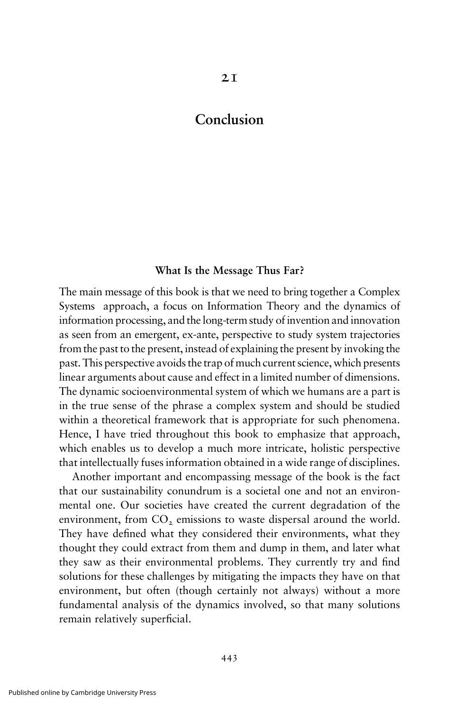# Conclusion

 $2I$ 

### What Is the Message Thus Far?

The main message of this book is that we need to bring together a Complex Systems approach, a focus on Information Theory and the dynamics of information processing, and the long-term study of invention and innovation as seen from an emergent, ex-ante, perspective to study system trajectories from the past to the present, instead of explaining the present by invoking the past. This perspective avoids the trap of much current science, which presents linear arguments about cause and effect in a limited number of dimensions. The dynamic socioenvironmental system of which we humans are a part is in the true sense of the phrase a complex system and should be studied within a theoretical framework that is appropriate for such phenomena. Hence, I have tried throughout this book to emphasize that approach, which enables us to develop a much more intricate, holistic perspective that intellectually fuses information obtained in a wide range of disciplines.

Another important and encompassing message of the book is the fact that our sustainability conundrum is a societal one and not an environmental one. Our societies have created the current degradation of the environment, from CO<sub>2</sub> emissions to waste dispersal around the world. They have defined what they considered their environments, what they thought they could extract from them and dump in them, and later what they saw as their environmental problems. They currently try and find solutions for these challenges by mitigating the impacts they have on that environment, but often (though certainly not always) without a more fundamental analysis of the dynamics involved, so that many solutions remain relatively superficial.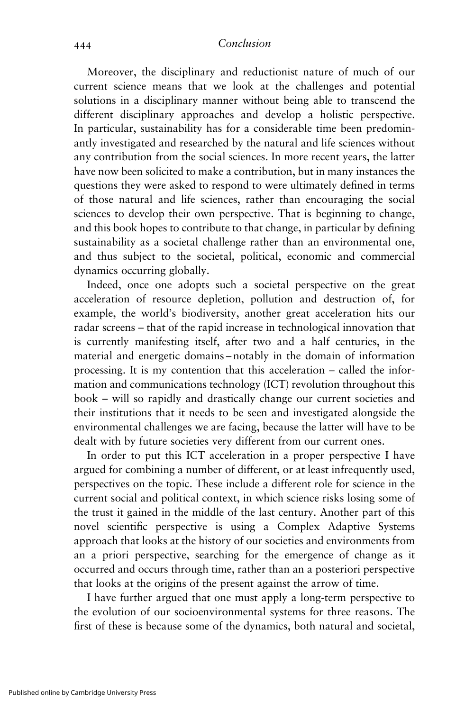Moreover, the disciplinary and reductionist nature of much of our current science means that we look at the challenges and potential solutions in a disciplinary manner without being able to transcend the different disciplinary approaches and develop a holistic perspective. In particular, sustainability has for a considerable time been predominantly investigated and researched by the natural and life sciences without any contribution from the social sciences. In more recent years, the latter have now been solicited to make a contribution, but in many instances the questions they were asked to respond to were ultimately defined in terms of those natural and life sciences, rather than encouraging the social sciences to develop their own perspective. That is beginning to change, and this book hopes to contribute to that change, in particular by defining sustainability as a societal challenge rather than an environmental one, and thus subject to the societal, political, economic and commercial dynamics occurring globally.

Indeed, once one adopts such a societal perspective on the great acceleration of resource depletion, pollution and destruction of, for example, the world's biodiversity, another great acceleration hits our radar screens – that of the rapid increase in technological innovation that is currently manifesting itself, after two and a half centuries, in the material and energetic domains – notably in the domain of information processing. It is my contention that this acceleration – called the information and communications technology (ICT) revolution throughout this book – will so rapidly and drastically change our current societies and their institutions that it needs to be seen and investigated alongside the environmental challenges we are facing, because the latter will have to be dealt with by future societies very different from our current ones.

In order to put this ICT acceleration in a proper perspective I have argued for combining a number of different, or at least infrequently used, perspectives on the topic. These include a different role for science in the current social and political context, in which science risks losing some of the trust it gained in the middle of the last century. Another part of this novel scientific perspective is using a Complex Adaptive Systems approach that looks at the history of our societies and environments from an a priori perspective, searching for the emergence of change as it occurred and occurs through time, rather than an a posteriori perspective that looks at the origins of the present against the arrow of time.

I have further argued that one must apply a long-term perspective to the evolution of our socioenvironmental systems for three reasons. The first of these is because some of the dynamics, both natural and societal,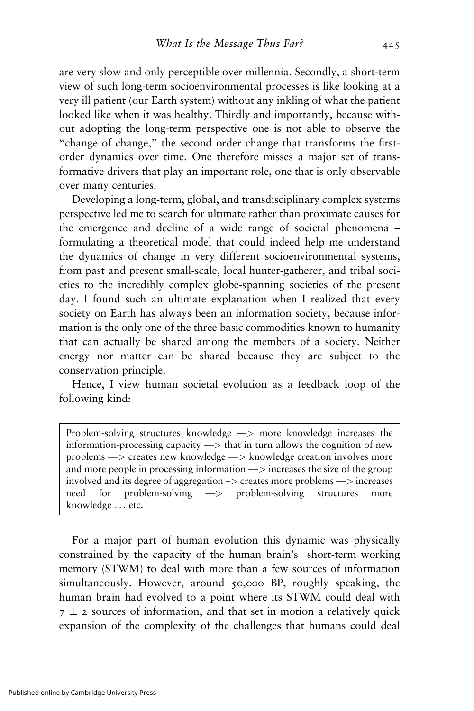are very slow and only perceptible over millennia. Secondly, a short-term view of such long-term socioenvironmental processes is like looking at a very ill patient (our Earth system) without any inkling of what the patient looked like when it was healthy. Thirdly and importantly, because without adopting the long-term perspective one is not able to observe the "change of change," the second order change that transforms the firstorder dynamics over time. One therefore misses a major set of transformative drivers that play an important role, one that is only observable over many centuries.

Developing a long-term, global, and transdisciplinary complex systems perspective led me to search for ultimate rather than proximate causes for the emergence and decline of a wide range of societal phenomena – formulating a theoretical model that could indeed help me understand the dynamics of change in very different socioenvironmental systems, from past and present small-scale, local hunter-gatherer, and tribal societies to the incredibly complex globe-spanning societies of the present day. I found such an ultimate explanation when I realized that every society on Earth has always been an information society, because information is the only one of the three basic commodities known to humanity that can actually be shared among the members of a society. Neither energy nor matter can be shared because they are subject to the conservation principle.

Hence, I view human societal evolution as a feedback loop of the following kind:

Problem-solving structures knowledge —> more knowledge increases the information-processing capacity  $\rightarrow$  that in turn allows the cognition of new problems ––> creates new knowledge —> knowledge creation involves more and more people in processing information  $\rightarrow$  increases the size of the group involved and its degree of aggregation –> creates more problems ––> increases need for problem-solving ––> problem-solving structures more knowledge ... etc.

For a major part of human evolution this dynamic was physically constrained by the capacity of the human brain's short-term working memory (STWM) to deal with more than a few sources of information simultaneously. However, around 50,000 BP, roughly speaking, the human brain had evolved to a point where its STWM could deal with  $7 \pm 2$  sources of information, and that set in motion a relatively quick expansion of the complexity of the challenges that humans could deal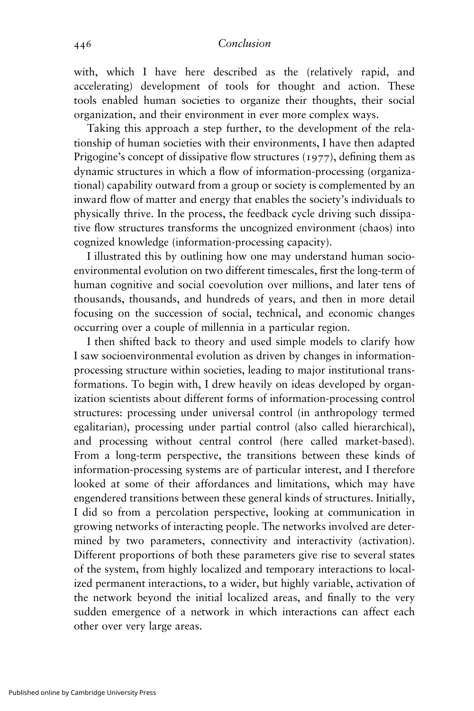with, which I have here described as the (relatively rapid, and accelerating) development of tools for thought and action. These tools enabled human societies to organize their thoughts, their social organization, and their environment in ever more complex ways.

Taking this approach a step further, to the development of the relationship of human societies with their environments, I have then adapted Prigogine's concept of dissipative flow structures (1977), defining them as dynamic structures in which a flow of information-processing (organizational) capability outward from a group or society is complemented by an inward flow of matter and energy that enables the society's individuals to physically thrive. In the process, the feedback cycle driving such dissipative flow structures transforms the uncognized environment (chaos) into cognized knowledge (information-processing capacity).

I illustrated this by outlining how one may understand human socioenvironmental evolution on two different timescales, first the long-term of human cognitive and social coevolution over millions, and later tens of thousands, thousands, and hundreds of years, and then in more detail focusing on the succession of social, technical, and economic changes occurring over a couple of millennia in a particular region.

I then shifted back to theory and used simple models to clarify how I saw socioenvironmental evolution as driven by changes in informationprocessing structure within societies, leading to major institutional transformations. To begin with, I drew heavily on ideas developed by organization scientists about different forms of information-processing control structures: processing under universal control (in anthropology termed egalitarian), processing under partial control (also called hierarchical), and processing without central control (here called market-based). From a long-term perspective, the transitions between these kinds of information-processing systems are of particular interest, and I therefore looked at some of their affordances and limitations, which may have engendered transitions between these general kinds of structures. Initially, I did so from a percolation perspective, looking at communication in growing networks of interacting people. The networks involved are determined by two parameters, connectivity and interactivity (activation). Different proportions of both these parameters give rise to several states of the system, from highly localized and temporary interactions to localized permanent interactions, to a wider, but highly variable, activation of the network beyond the initial localized areas, and finally to the very sudden emergence of a network in which interactions can affect each other over very large areas.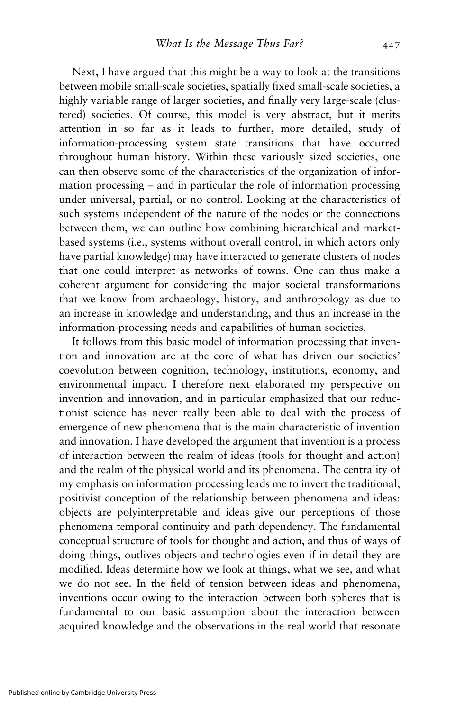Next, I have argued that this might be a way to look at the transitions between mobile small-scale societies, spatially fixed small-scale societies, a highly variable range of larger societies, and finally very large-scale (clustered) societies. Of course, this model is very abstract, but it merits attention in so far as it leads to further, more detailed, study of information-processing system state transitions that have occurred throughout human history. Within these variously sized societies, one can then observe some of the characteristics of the organization of information processing – and in particular the role of information processing under universal, partial, or no control. Looking at the characteristics of such systems independent of the nature of the nodes or the connections between them, we can outline how combining hierarchical and marketbased systems (i.e., systems without overall control, in which actors only have partial knowledge) may have interacted to generate clusters of nodes that one could interpret as networks of towns. One can thus make a coherent argument for considering the major societal transformations that we know from archaeology, history, and anthropology as due to an increase in knowledge and understanding, and thus an increase in the information-processing needs and capabilities of human societies.

It follows from this basic model of information processing that invention and innovation are at the core of what has driven our societies' coevolution between cognition, technology, institutions, economy, and environmental impact. I therefore next elaborated my perspective on invention and innovation, and in particular emphasized that our reductionist science has never really been able to deal with the process of emergence of new phenomena that is the main characteristic of invention and innovation. I have developed the argument that invention is a process of interaction between the realm of ideas (tools for thought and action) and the realm of the physical world and its phenomena. The centrality of my emphasis on information processing leads me to invert the traditional, positivist conception of the relationship between phenomena and ideas: objects are polyinterpretable and ideas give our perceptions of those phenomena temporal continuity and path dependency. The fundamental conceptual structure of tools for thought and action, and thus of ways of doing things, outlives objects and technologies even if in detail they are modified. Ideas determine how we look at things, what we see, and what we do not see. In the field of tension between ideas and phenomena, inventions occur owing to the interaction between both spheres that is fundamental to our basic assumption about the interaction between acquired knowledge and the observations in the real world that resonate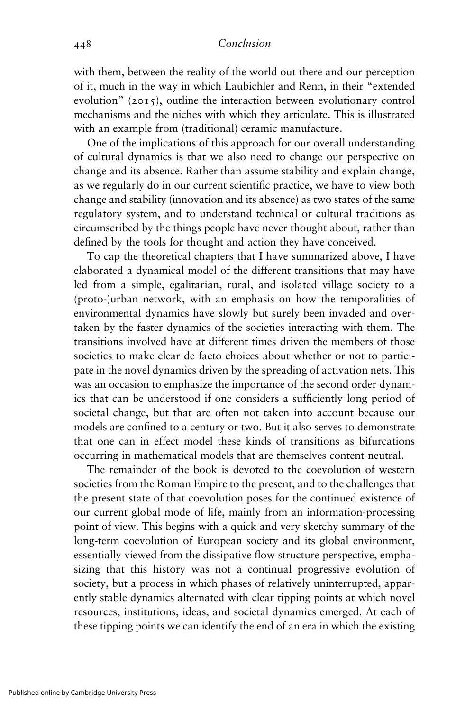with them, between the reality of the world out there and our perception of it, much in the way in which Laubichler and Renn, in their "extended evolution" (2015), outline the interaction between evolutionary control mechanisms and the niches with which they articulate. This is illustrated with an example from (traditional) ceramic manufacture.

One of the implications of this approach for our overall understanding of cultural dynamics is that we also need to change our perspective on change and its absence. Rather than assume stability and explain change, as we regularly do in our current scientific practice, we have to view both change and stability (innovation and its absence) as two states of the same regulatory system, and to understand technical or cultural traditions as circumscribed by the things people have never thought about, rather than defined by the tools for thought and action they have conceived.

To cap the theoretical chapters that I have summarized above, I have elaborated a dynamical model of the different transitions that may have led from a simple, egalitarian, rural, and isolated village society to a (proto-)urban network, with an emphasis on how the temporalities of environmental dynamics have slowly but surely been invaded and overtaken by the faster dynamics of the societies interacting with them. The transitions involved have at different times driven the members of those societies to make clear de facto choices about whether or not to participate in the novel dynamics driven by the spreading of activation nets. This was an occasion to emphasize the importance of the second order dynamics that can be understood if one considers a sufficiently long period of societal change, but that are often not taken into account because our models are confined to a century or two. But it also serves to demonstrate that one can in effect model these kinds of transitions as bifurcations occurring in mathematical models that are themselves content-neutral.

The remainder of the book is devoted to the coevolution of western societies from the Roman Empire to the present, and to the challenges that the present state of that coevolution poses for the continued existence of our current global mode of life, mainly from an information-processing point of view. This begins with a quick and very sketchy summary of the long-term coevolution of European society and its global environment, essentially viewed from the dissipative flow structure perspective, emphasizing that this history was not a continual progressive evolution of society, but a process in which phases of relatively uninterrupted, apparently stable dynamics alternated with clear tipping points at which novel resources, institutions, ideas, and societal dynamics emerged. At each of these tipping points we can identify the end of an era in which the existing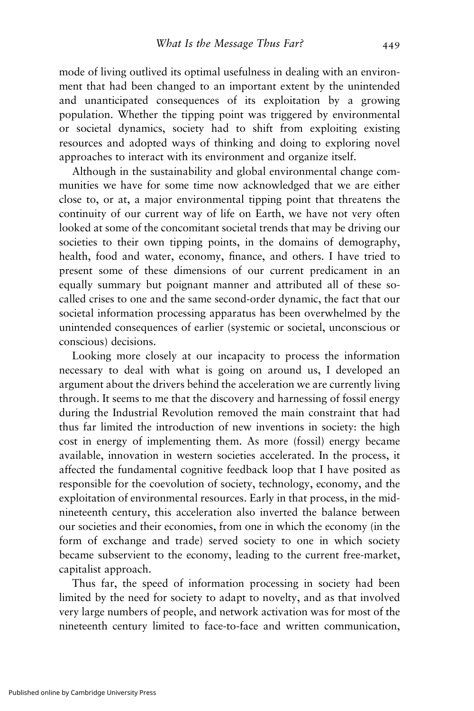mode of living outlived its optimal usefulness in dealing with an environment that had been changed to an important extent by the unintended and unanticipated consequences of its exploitation by a growing population. Whether the tipping point was triggered by environmental or societal dynamics, society had to shift from exploiting existing resources and adopted ways of thinking and doing to exploring novel approaches to interact with its environment and organize itself.

Although in the sustainability and global environmental change communities we have for some time now acknowledged that we are either close to, or at, a major environmental tipping point that threatens the continuity of our current way of life on Earth, we have not very often looked at some of the concomitant societal trends that may be driving our societies to their own tipping points, in the domains of demography, health, food and water, economy, finance, and others. I have tried to present some of these dimensions of our current predicament in an equally summary but poignant manner and attributed all of these socalled crises to one and the same second-order dynamic, the fact that our societal information processing apparatus has been overwhelmed by the unintended consequences of earlier (systemic or societal, unconscious or conscious) decisions.

Looking more closely at our incapacity to process the information necessary to deal with what is going on around us, I developed an argument about the drivers behind the acceleration we are currently living through. It seems to me that the discovery and harnessing of fossil energy during the Industrial Revolution removed the main constraint that had thus far limited the introduction of new inventions in society: the high cost in energy of implementing them. As more (fossil) energy became available, innovation in western societies accelerated. In the process, it affected the fundamental cognitive feedback loop that I have posited as responsible for the coevolution of society, technology, economy, and the exploitation of environmental resources. Early in that process, in the midnineteenth century, this acceleration also inverted the balance between our societies and their economies, from one in which the economy (in the form of exchange and trade) served society to one in which society became subservient to the economy, leading to the current free-market, capitalist approach.

Thus far, the speed of information processing in society had been limited by the need for society to adapt to novelty, and as that involved very large numbers of people, and network activation was for most of the nineteenth century limited to face-to-face and written communication,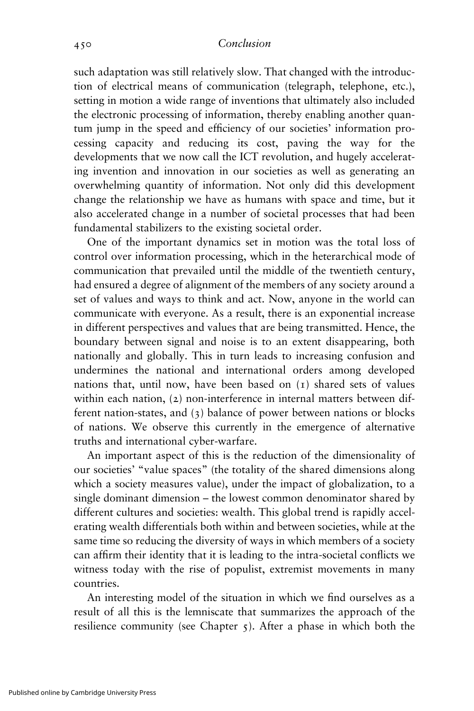such adaptation was still relatively slow. That changed with the introduction of electrical means of communication (telegraph, telephone, etc.), setting in motion a wide range of inventions that ultimately also included the electronic processing of information, thereby enabling another quantum jump in the speed and efficiency of our societies' information processing capacity and reducing its cost, paving the way for the developments that we now call the ICT revolution, and hugely accelerating invention and innovation in our societies as well as generating an overwhelming quantity of information. Not only did this development change the relationship we have as humans with space and time, but it also accelerated change in a number of societal processes that had been fundamental stabilizers to the existing societal order.

One of the important dynamics set in motion was the total loss of control over information processing, which in the heterarchical mode of communication that prevailed until the middle of the twentieth century, had ensured a degree of alignment of the members of any society around a set of values and ways to think and act. Now, anyone in the world can communicate with everyone. As a result, there is an exponential increase in different perspectives and values that are being transmitted. Hence, the boundary between signal and noise is to an extent disappearing, both nationally and globally. This in turn leads to increasing confusion and undermines the national and international orders among developed nations that, until now, have been based on (1) shared sets of values within each nation, (2) non-interference in internal matters between different nation-states, and (3) balance of power between nations or blocks of nations. We observe this currently in the emergence of alternative truths and international cyber-warfare.

An important aspect of this is the reduction of the dimensionality of our societies' "value spaces" (the totality of the shared dimensions along which a society measures value), under the impact of globalization, to a single dominant dimension – the lowest common denominator shared by different cultures and societies: wealth. This global trend is rapidly accelerating wealth differentials both within and between societies, while at the same time so reducing the diversity of ways in which members of a society can affirm their identity that it is leading to the intra-societal conflicts we witness today with the rise of populist, extremist movements in many countries.

An interesting model of the situation in which we find ourselves as a result of all this is the lemniscate that summarizes the approach of the resilience community (see Chapter  $\zeta$ ). After a phase in which both the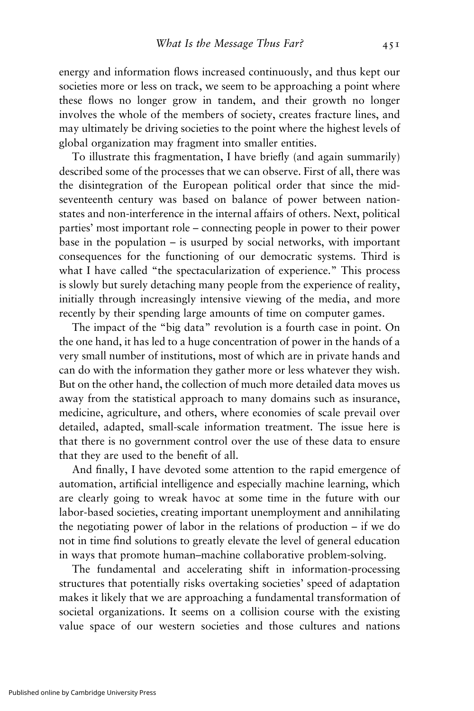energy and information flows increased continuously, and thus kept our societies more or less on track, we seem to be approaching a point where these flows no longer grow in tandem, and their growth no longer involves the whole of the members of society, creates fracture lines, and may ultimately be driving societies to the point where the highest levels of global organization may fragment into smaller entities.

To illustrate this fragmentation, I have briefly (and again summarily) described some of the processes that we can observe. First of all, there was the disintegration of the European political order that since the midseventeenth century was based on balance of power between nationstates and non-interference in the internal affairs of others. Next, political parties' most important role – connecting people in power to their power base in the population – is usurped by social networks, with important consequences for the functioning of our democratic systems. Third is what I have called "the spectacularization of experience." This process is slowly but surely detaching many people from the experience of reality, initially through increasingly intensive viewing of the media, and more recently by their spending large amounts of time on computer games.

The impact of the "big data" revolution is a fourth case in point. On the one hand, it has led to a huge concentration of power in the hands of a very small number of institutions, most of which are in private hands and can do with the information they gather more or less whatever they wish. But on the other hand, the collection of much more detailed data moves us away from the statistical approach to many domains such as insurance, medicine, agriculture, and others, where economies of scale prevail over detailed, adapted, small-scale information treatment. The issue here is that there is no government control over the use of these data to ensure that they are used to the benefit of all.

And finally, I have devoted some attention to the rapid emergence of automation, artificial intelligence and especially machine learning, which are clearly going to wreak havoc at some time in the future with our labor-based societies, creating important unemployment and annihilating the negotiating power of labor in the relations of production – if we do not in time find solutions to greatly elevate the level of general education in ways that promote human–machine collaborative problem-solving.

The fundamental and accelerating shift in information-processing structures that potentially risks overtaking societies' speed of adaptation makes it likely that we are approaching a fundamental transformation of societal organizations. It seems on a collision course with the existing value space of our western societies and those cultures and nations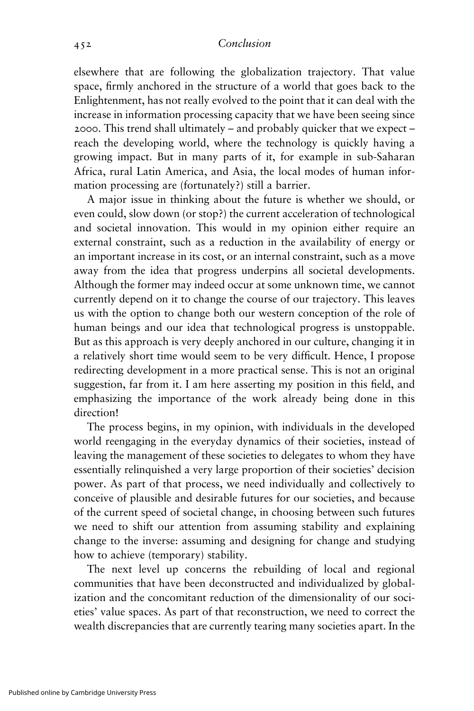# 452 Conclusion

elsewhere that are following the globalization trajectory. That value space, firmly anchored in the structure of a world that goes back to the Enlightenment, has not really evolved to the point that it can deal with the increase in information processing capacity that we have been seeing since 2000. This trend shall ultimately – and probably quicker that we expect – reach the developing world, where the technology is quickly having a growing impact. But in many parts of it, for example in sub-Saharan Africa, rural Latin America, and Asia, the local modes of human information processing are (fortunately?) still a barrier.

A major issue in thinking about the future is whether we should, or even could, slow down (or stop?) the current acceleration of technological and societal innovation. This would in my opinion either require an external constraint, such as a reduction in the availability of energy or an important increase in its cost, or an internal constraint, such as a move away from the idea that progress underpins all societal developments. Although the former may indeed occur at some unknown time, we cannot currently depend on it to change the course of our trajectory. This leaves us with the option to change both our western conception of the role of human beings and our idea that technological progress is unstoppable. But as this approach is very deeply anchored in our culture, changing it in a relatively short time would seem to be very difficult. Hence, I propose redirecting development in a more practical sense. This is not an original suggestion, far from it. I am here asserting my position in this field, and emphasizing the importance of the work already being done in this direction!

The process begins, in my opinion, with individuals in the developed world reengaging in the everyday dynamics of their societies, instead of leaving the management of these societies to delegates to whom they have essentially relinquished a very large proportion of their societies' decision power. As part of that process, we need individually and collectively to conceive of plausible and desirable futures for our societies, and because of the current speed of societal change, in choosing between such futures we need to shift our attention from assuming stability and explaining change to the inverse: assuming and designing for change and studying how to achieve (temporary) stability.

The next level up concerns the rebuilding of local and regional communities that have been deconstructed and individualized by globalization and the concomitant reduction of the dimensionality of our societies' value spaces. As part of that reconstruction, we need to correct the wealth discrepancies that are currently tearing many societies apart. In the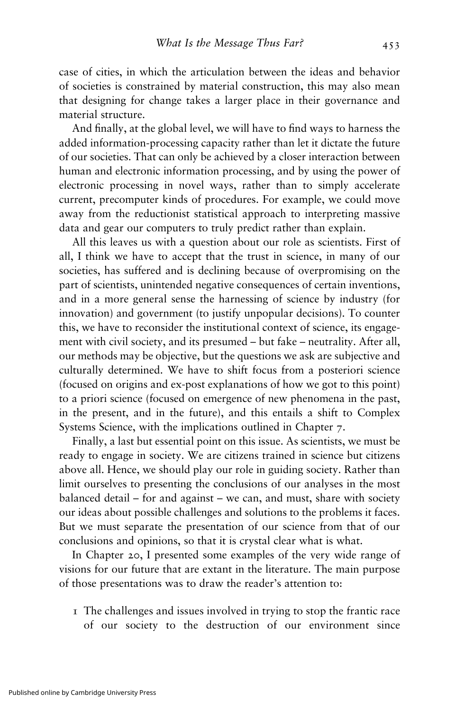case of cities, in which the articulation between the ideas and behavior of societies is constrained by material construction, this may also mean that designing for change takes a larger place in their governance and material structure.

And finally, at the global level, we will have to find ways to harness the added information-processing capacity rather than let it dictate the future of our societies. That can only be achieved by a closer interaction between human and electronic information processing, and by using the power of electronic processing in novel ways, rather than to simply accelerate current, precomputer kinds of procedures. For example, we could move away from the reductionist statistical approach to interpreting massive data and gear our computers to truly predict rather than explain.

All this leaves us with a question about our role as scientists. First of all, I think we have to accept that the trust in science, in many of our societies, has suffered and is declining because of overpromising on the part of scientists, unintended negative consequences of certain inventions, and in a more general sense the harnessing of science by industry (for innovation) and government (to justify unpopular decisions). To counter this, we have to reconsider the institutional context of science, its engagement with civil society, and its presumed – but fake – neutrality. After all, our methods may be objective, but the questions we ask are subjective and culturally determined. We have to shift focus from a posteriori science (focused on origins and ex-post explanations of how we got to this point) to a priori science (focused on emergence of new phenomena in the past, in the present, and in the future), and this entails a shift to Complex Systems Science, with the implications outlined in Chapter 7.

Finally, a last but essential point on this issue. As scientists, we must be ready to engage in society. We are citizens trained in science but citizens above all. Hence, we should play our role in guiding society. Rather than limit ourselves to presenting the conclusions of our analyses in the most balanced detail – for and against – we can, and must, share with society our ideas about possible challenges and solutions to the problems it faces. But we must separate the presentation of our science from that of our conclusions and opinions, so that it is crystal clear what is what.

In Chapter 20, I presented some examples of the very wide range of visions for our future that are extant in the literature. The main purpose of those presentations was to draw the reader's attention to:

1 The challenges and issues involved in trying to stop the frantic race of our society to the destruction of our environment since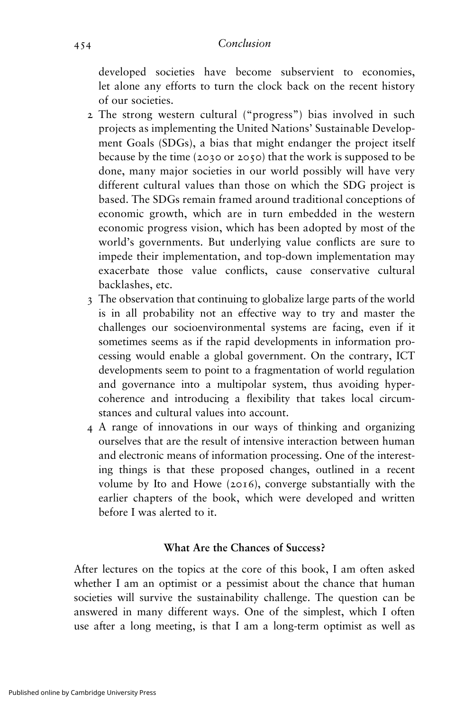developed societies have become subservient to economies, let alone any efforts to turn the clock back on the recent history of our societies.

- 2 The strong western cultural ("progress") bias involved in such projects as implementing the United Nations' Sustainable Development Goals (SDGs), a bias that might endanger the project itself because by the time (2030 or 2050) that the work is supposed to be done, many major societies in our world possibly will have very different cultural values than those on which the SDG project is based. The SDGs remain framed around traditional conceptions of economic growth, which are in turn embedded in the western economic progress vision, which has been adopted by most of the world's governments. But underlying value conflicts are sure to impede their implementation, and top-down implementation may exacerbate those value conflicts, cause conservative cultural backlashes, etc.
- 3 The observation that continuing to globalize large parts of the world is in all probability not an effective way to try and master the challenges our socioenvironmental systems are facing, even if it sometimes seems as if the rapid developments in information processing would enable a global government. On the contrary, ICT developments seem to point to a fragmentation of world regulation and governance into a multipolar system, thus avoiding hypercoherence and introducing a flexibility that takes local circumstances and cultural values into account.
- 4 A range of innovations in our ways of thinking and organizing ourselves that are the result of intensive interaction between human and electronic means of information processing. One of the interesting things is that these proposed changes, outlined in a recent volume by Ito and Howe (2016), converge substantially with the earlier chapters of the book, which were developed and written before I was alerted to it.

# What Are the Chances of Success?

After lectures on the topics at the core of this book, I am often asked whether I am an optimist or a pessimist about the chance that human societies will survive the sustainability challenge. The question can be answered in many different ways. One of the simplest, which I often use after a long meeting, is that I am a long-term optimist as well as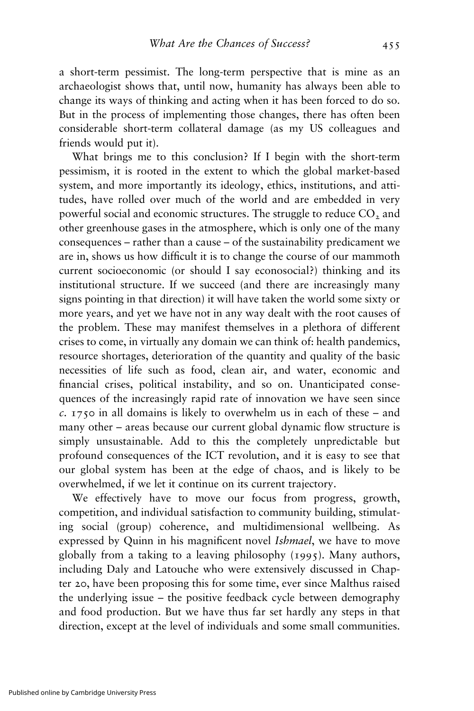a short-term pessimist. The long-term perspective that is mine as an archaeologist shows that, until now, humanity has always been able to change its ways of thinking and acting when it has been forced to do so. But in the process of implementing those changes, there has often been considerable short-term collateral damage (as my US colleagues and friends would put it).

What brings me to this conclusion? If I begin with the short-term pessimism, it is rooted in the extent to which the global market-based system, and more importantly its ideology, ethics, institutions, and attitudes, have rolled over much of the world and are embedded in very powerful social and economic structures. The struggle to reduce  $CO<sub>2</sub>$  and other greenhouse gases in the atmosphere, which is only one of the many consequences – rather than a cause – of the sustainability predicament we are in, shows us how difficult it is to change the course of our mammoth current socioeconomic (or should I say econosocial?) thinking and its institutional structure. If we succeed (and there are increasingly many signs pointing in that direction) it will have taken the world some sixty or more years, and yet we have not in any way dealt with the root causes of the problem. These may manifest themselves in a plethora of different crises to come, in virtually any domain we can think of: health pandemics, resource shortages, deterioration of the quantity and quality of the basic necessities of life such as food, clean air, and water, economic and financial crises, political instability, and so on. Unanticipated consequences of the increasingly rapid rate of innovation we have seen since  $c.$  1750 in all domains is likely to overwhelm us in each of these – and many other – areas because our current global dynamic flow structure is simply unsustainable. Add to this the completely unpredictable but profound consequences of the ICT revolution, and it is easy to see that our global system has been at the edge of chaos, and is likely to be overwhelmed, if we let it continue on its current trajectory.

We effectively have to move our focus from progress, growth, competition, and individual satisfaction to community building, stimulating social (group) coherence, and multidimensional wellbeing. As expressed by Quinn in his magnificent novel Ishmael, we have to move globally from a taking to a leaving philosophy (1995). Many authors, including Daly and Latouche who were extensively discussed in Chapter 20, have been proposing this for some time, ever since Malthus raised the underlying issue – the positive feedback cycle between demography and food production. But we have thus far set hardly any steps in that direction, except at the level of individuals and some small communities.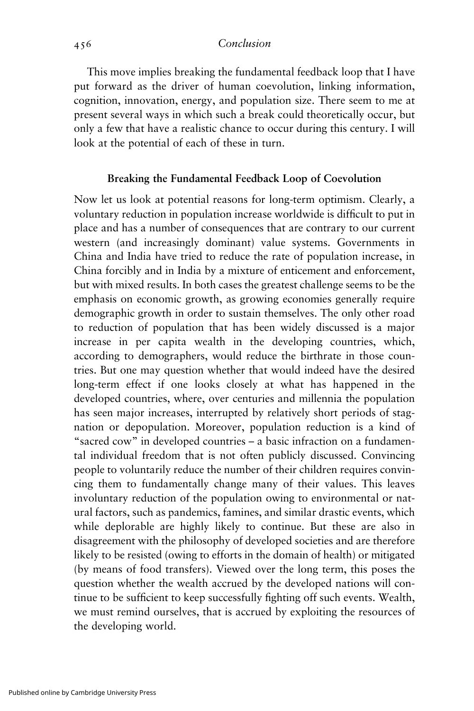This move implies breaking the fundamental feedback loop that I have put forward as the driver of human coevolution, linking information, cognition, innovation, energy, and population size. There seem to me at present several ways in which such a break could theoretically occur, but only a few that have a realistic chance to occur during this century. I will look at the potential of each of these in turn.

# Breaking the Fundamental Feedback Loop of Coevolution

Now let us look at potential reasons for long-term optimism. Clearly, a voluntary reduction in population increase worldwide is difficult to put in place and has a number of consequences that are contrary to our current western (and increasingly dominant) value systems. Governments in China and India have tried to reduce the rate of population increase, in China forcibly and in India by a mixture of enticement and enforcement, but with mixed results. In both cases the greatest challenge seems to be the emphasis on economic growth, as growing economies generally require demographic growth in order to sustain themselves. The only other road to reduction of population that has been widely discussed is a major increase in per capita wealth in the developing countries, which, according to demographers, would reduce the birthrate in those countries. But one may question whether that would indeed have the desired long-term effect if one looks closely at what has happened in the developed countries, where, over centuries and millennia the population has seen major increases, interrupted by relatively short periods of stagnation or depopulation. Moreover, population reduction is a kind of "sacred cow" in developed countries – a basic infraction on a fundamental individual freedom that is not often publicly discussed. Convincing people to voluntarily reduce the number of their children requires convincing them to fundamentally change many of their values. This leaves involuntary reduction of the population owing to environmental or natural factors, such as pandemics, famines, and similar drastic events, which while deplorable are highly likely to continue. But these are also in disagreement with the philosophy of developed societies and are therefore likely to be resisted (owing to efforts in the domain of health) or mitigated (by means of food transfers). Viewed over the long term, this poses the question whether the wealth accrued by the developed nations will continue to be sufficient to keep successfully fighting off such events. Wealth, we must remind ourselves, that is accrued by exploiting the resources of the developing world.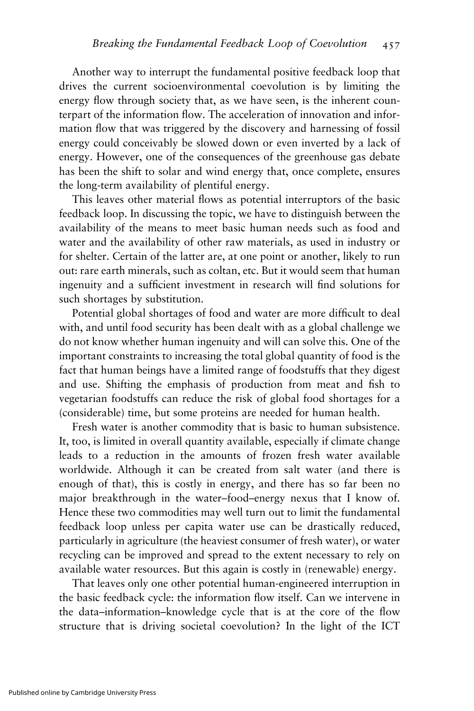Another way to interrupt the fundamental positive feedback loop that drives the current socioenvironmental coevolution is by limiting the energy flow through society that, as we have seen, is the inherent counterpart of the information flow. The acceleration of innovation and information flow that was triggered by the discovery and harnessing of fossil energy could conceivably be slowed down or even inverted by a lack of energy. However, one of the consequences of the greenhouse gas debate has been the shift to solar and wind energy that, once complete, ensures the long-term availability of plentiful energy.

This leaves other material flows as potential interruptors of the basic feedback loop. In discussing the topic, we have to distinguish between the availability of the means to meet basic human needs such as food and water and the availability of other raw materials, as used in industry or for shelter. Certain of the latter are, at one point or another, likely to run out: rare earth minerals, such as coltan, etc. But it would seem that human ingenuity and a sufficient investment in research will find solutions for such shortages by substitution.

Potential global shortages of food and water are more difficult to deal with, and until food security has been dealt with as a global challenge we do not know whether human ingenuity and will can solve this. One of the important constraints to increasing the total global quantity of food is the fact that human beings have a limited range of foodstuffs that they digest and use. Shifting the emphasis of production from meat and fish to vegetarian foodstuffs can reduce the risk of global food shortages for a (considerable) time, but some proteins are needed for human health.

Fresh water is another commodity that is basic to human subsistence. It, too, is limited in overall quantity available, especially if climate change leads to a reduction in the amounts of frozen fresh water available worldwide. Although it can be created from salt water (and there is enough of that), this is costly in energy, and there has so far been no major breakthrough in the water–food–energy nexus that I know of. Hence these two commodities may well turn out to limit the fundamental feedback loop unless per capita water use can be drastically reduced, particularly in agriculture (the heaviest consumer of fresh water), or water recycling can be improved and spread to the extent necessary to rely on available water resources. But this again is costly in (renewable) energy.

That leaves only one other potential human-engineered interruption in the basic feedback cycle: the information flow itself. Can we intervene in the data–information–knowledge cycle that is at the core of the flow structure that is driving societal coevolution? In the light of the ICT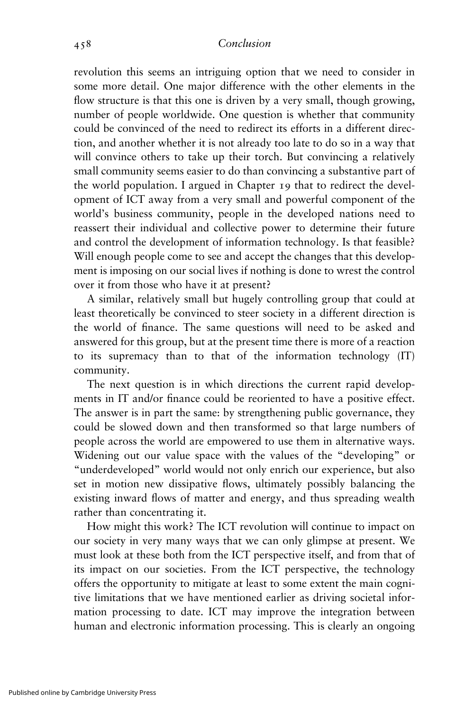revolution this seems an intriguing option that we need to consider in some more detail. One major difference with the other elements in the flow structure is that this one is driven by a very small, though growing, number of people worldwide. One question is whether that community could be convinced of the need to redirect its efforts in a different direction, and another whether it is not already too late to do so in a way that will convince others to take up their torch. But convincing a relatively small community seems easier to do than convincing a substantive part of the world population. I argued in Chapter 19 that to redirect the development of ICT away from a very small and powerful component of the world's business community, people in the developed nations need to reassert their individual and collective power to determine their future and control the development of information technology. Is that feasible? Will enough people come to see and accept the changes that this development is imposing on our social lives if nothing is done to wrest the control over it from those who have it at present?

A similar, relatively small but hugely controlling group that could at least theoretically be convinced to steer society in a different direction is the world of finance. The same questions will need to be asked and answered for this group, but at the present time there is more of a reaction to its supremacy than to that of the information technology (IT) community.

The next question is in which directions the current rapid developments in IT and/or finance could be reoriented to have a positive effect. The answer is in part the same: by strengthening public governance, they could be slowed down and then transformed so that large numbers of people across the world are empowered to use them in alternative ways. Widening out our value space with the values of the "developing" or "underdeveloped" world would not only enrich our experience, but also set in motion new dissipative flows, ultimately possibly balancing the existing inward flows of matter and energy, and thus spreading wealth rather than concentrating it.

How might this work? The ICT revolution will continue to impact on our society in very many ways that we can only glimpse at present. We must look at these both from the ICT perspective itself, and from that of its impact on our societies. From the ICT perspective, the technology offers the opportunity to mitigate at least to some extent the main cognitive limitations that we have mentioned earlier as driving societal information processing to date. ICT may improve the integration between human and electronic information processing. This is clearly an ongoing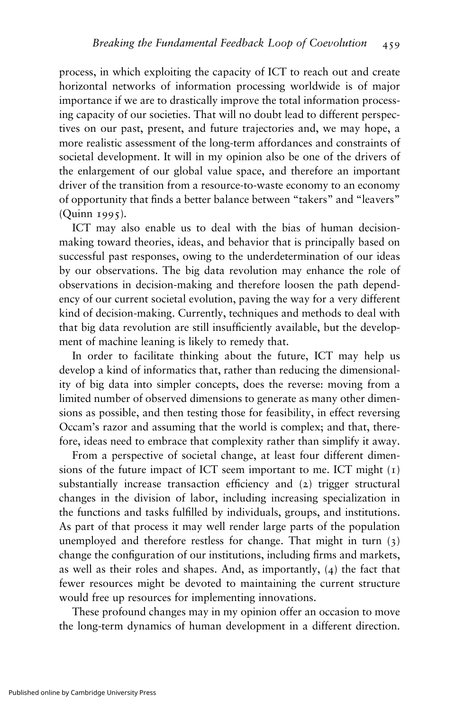process, in which exploiting the capacity of ICT to reach out and create horizontal networks of information processing worldwide is of major importance if we are to drastically improve the total information processing capacity of our societies. That will no doubt lead to different perspectives on our past, present, and future trajectories and, we may hope, a more realistic assessment of the long-term affordances and constraints of societal development. It will in my opinion also be one of the drivers of the enlargement of our global value space, and therefore an important driver of the transition from a resource-to-waste economy to an economy of opportunity that finds a better balance between "takers" and "leavers" (Quinn 1995).

ICT may also enable us to deal with the bias of human decisionmaking toward theories, ideas, and behavior that is principally based on successful past responses, owing to the underdetermination of our ideas by our observations. The big data revolution may enhance the role of observations in decision-making and therefore loosen the path dependency of our current societal evolution, paving the way for a very different kind of decision-making. Currently, techniques and methods to deal with that big data revolution are still insufficiently available, but the development of machine leaning is likely to remedy that.

In order to facilitate thinking about the future, ICT may help us develop a kind of informatics that, rather than reducing the dimensionality of big data into simpler concepts, does the reverse: moving from a limited number of observed dimensions to generate as many other dimensions as possible, and then testing those for feasibility, in effect reversing Occam's razor and assuming that the world is complex; and that, therefore, ideas need to embrace that complexity rather than simplify it away.

From a perspective of societal change, at least four different dimensions of the future impact of ICT seem important to me. ICT might  $(1)$ substantially increase transaction efficiency and (2) trigger structural changes in the division of labor, including increasing specialization in the functions and tasks fulfilled by individuals, groups, and institutions. As part of that process it may well render large parts of the population unemployed and therefore restless for change. That might in turn (3) change the configuration of our institutions, including firms and markets, as well as their roles and shapes. And, as importantly, (4) the fact that fewer resources might be devoted to maintaining the current structure would free up resources for implementing innovations.

These profound changes may in my opinion offer an occasion to move the long-term dynamics of human development in a different direction.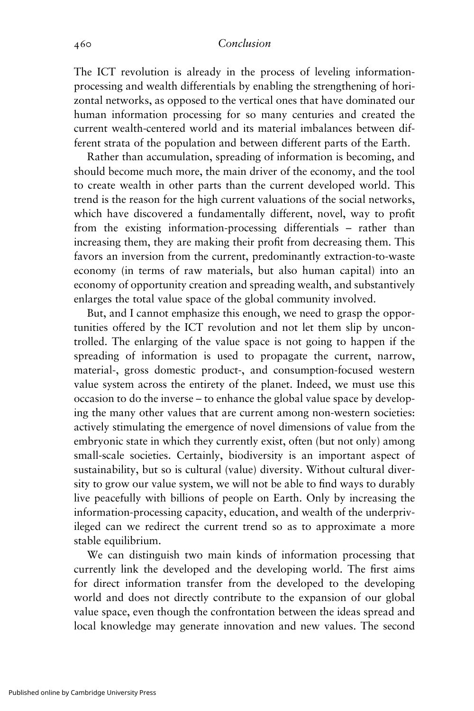The ICT revolution is already in the process of leveling informationprocessing and wealth differentials by enabling the strengthening of horizontal networks, as opposed to the vertical ones that have dominated our human information processing for so many centuries and created the current wealth-centered world and its material imbalances between different strata of the population and between different parts of the Earth.

Rather than accumulation, spreading of information is becoming, and should become much more, the main driver of the economy, and the tool to create wealth in other parts than the current developed world. This trend is the reason for the high current valuations of the social networks, which have discovered a fundamentally different, novel, way to profit from the existing information-processing differentials – rather than increasing them, they are making their profit from decreasing them. This favors an inversion from the current, predominantly extraction-to-waste economy (in terms of raw materials, but also human capital) into an economy of opportunity creation and spreading wealth, and substantively enlarges the total value space of the global community involved.

But, and I cannot emphasize this enough, we need to grasp the opportunities offered by the ICT revolution and not let them slip by uncontrolled. The enlarging of the value space is not going to happen if the spreading of information is used to propagate the current, narrow, material-, gross domestic product-, and consumption-focused western value system across the entirety of the planet. Indeed, we must use this occasion to do the inverse – to enhance the global value space by developing the many other values that are current among non-western societies: actively stimulating the emergence of novel dimensions of value from the embryonic state in which they currently exist, often (but not only) among small-scale societies. Certainly, biodiversity is an important aspect of sustainability, but so is cultural (value) diversity. Without cultural diversity to grow our value system, we will not be able to find ways to durably live peacefully with billions of people on Earth. Only by increasing the information-processing capacity, education, and wealth of the underprivileged can we redirect the current trend so as to approximate a more stable equilibrium.

We can distinguish two main kinds of information processing that currently link the developed and the developing world. The first aims for direct information transfer from the developed to the developing world and does not directly contribute to the expansion of our global value space, even though the confrontation between the ideas spread and local knowledge may generate innovation and new values. The second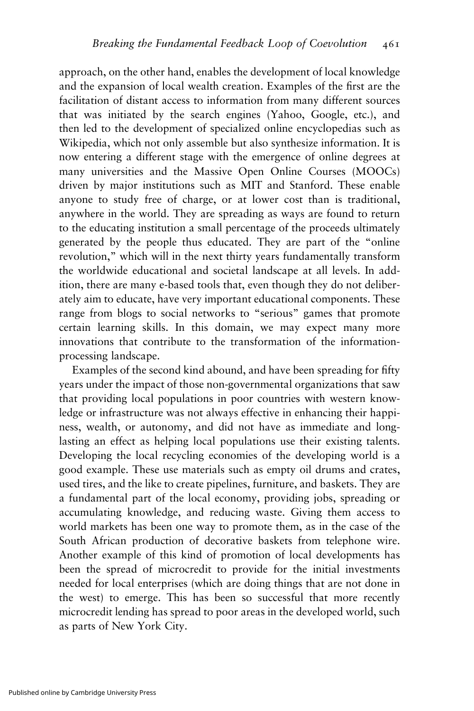approach, on the other hand, enables the development of local knowledge and the expansion of local wealth creation. Examples of the first are the facilitation of distant access to information from many different sources that was initiated by the search engines (Yahoo, Google, etc.), and then led to the development of specialized online encyclopedias such as Wikipedia, which not only assemble but also synthesize information. It is now entering a different stage with the emergence of online degrees at many universities and the Massive Open Online Courses (MOOCs) driven by major institutions such as MIT and Stanford. These enable anyone to study free of charge, or at lower cost than is traditional, anywhere in the world. They are spreading as ways are found to return to the educating institution a small percentage of the proceeds ultimately generated by the people thus educated. They are part of the "online revolution," which will in the next thirty years fundamentally transform the worldwide educational and societal landscape at all levels. In addition, there are many e-based tools that, even though they do not deliberately aim to educate, have very important educational components. These range from blogs to social networks to "serious" games that promote certain learning skills. In this domain, we may expect many more innovations that contribute to the transformation of the informationprocessing landscape.

Examples of the second kind abound, and have been spreading for fifty years under the impact of those non-governmental organizations that saw that providing local populations in poor countries with western knowledge or infrastructure was not always effective in enhancing their happiness, wealth, or autonomy, and did not have as immediate and longlasting an effect as helping local populations use their existing talents. Developing the local recycling economies of the developing world is a good example. These use materials such as empty oil drums and crates, used tires, and the like to create pipelines, furniture, and baskets. They are a fundamental part of the local economy, providing jobs, spreading or accumulating knowledge, and reducing waste. Giving them access to world markets has been one way to promote them, as in the case of the South African production of decorative baskets from telephone wire. Another example of this kind of promotion of local developments has been the spread of microcredit to provide for the initial investments needed for local enterprises (which are doing things that are not done in the west) to emerge. This has been so successful that more recently microcredit lending has spread to poor areas in the developed world, such as parts of New York City.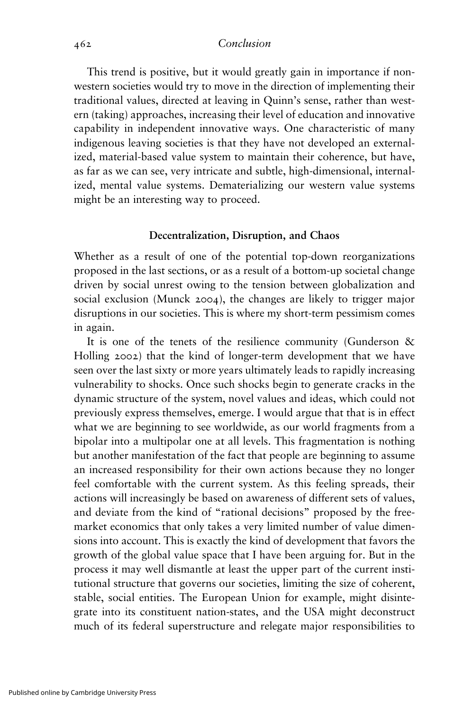### 462 Conclusion

This trend is positive, but it would greatly gain in importance if nonwestern societies would try to move in the direction of implementing their traditional values, directed at leaving in Quinn's sense, rather than western (taking) approaches, increasing their level of education and innovative capability in independent innovative ways. One characteristic of many indigenous leaving societies is that they have not developed an externalized, material-based value system to maintain their coherence, but have, as far as we can see, very intricate and subtle, high-dimensional, internalized, mental value systems. Dematerializing our western value systems might be an interesting way to proceed.

### Decentralization, Disruption, and Chaos

Whether as a result of one of the potential top-down reorganizations proposed in the last sections, or as a result of a bottom-up societal change driven by social unrest owing to the tension between globalization and social exclusion (Munck 2004), the changes are likely to trigger major disruptions in our societies. This is where my short-term pessimism comes in again.

It is one of the tenets of the resilience community (Gunderson & Holling 2002) that the kind of longer-term development that we have seen over the last sixty or more years ultimately leads to rapidly increasing vulnerability to shocks. Once such shocks begin to generate cracks in the dynamic structure of the system, novel values and ideas, which could not previously express themselves, emerge. I would argue that that is in effect what we are beginning to see worldwide, as our world fragments from a bipolar into a multipolar one at all levels. This fragmentation is nothing but another manifestation of the fact that people are beginning to assume an increased responsibility for their own actions because they no longer feel comfortable with the current system. As this feeling spreads, their actions will increasingly be based on awareness of different sets of values, and deviate from the kind of "rational decisions" proposed by the freemarket economics that only takes a very limited number of value dimensions into account. This is exactly the kind of development that favors the growth of the global value space that I have been arguing for. But in the process it may well dismantle at least the upper part of the current institutional structure that governs our societies, limiting the size of coherent, stable, social entities. The European Union for example, might disintegrate into its constituent nation-states, and the USA might deconstruct much of its federal superstructure and relegate major responsibilities to